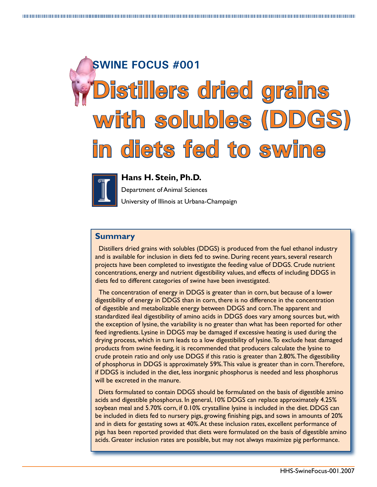# **SWINE FOCUS #001 Distillers dried grains with solubles (DDGS) in diets fed to swine**



**Hans H. Stein, Ph.D.**

Department of Animal Sciences University of Illinois at Urbana-Champaign

## **Summary**

Distillers dried grains with solubles (DDGS) is produced from the fuel ethanol industry and is available for inclusion in diets fed to swine. During recent years, several research projects have been completed to investigate the feeding value of DDGS. Crude nutrient concentrations, energy and nutrient digestibility values, and effects of including DDGS in diets fed to different categories of swine have been investigated.

The concentration of energy in DDGS is greater than in corn, but because of a lower digestibility of energy in DDGS than in corn, there is no difference in the concentration of digestible and metabolizable energy between DDGS and corn. The apparent and standardized ileal digestibility of amino acids in DDGS does vary among sources but, with the exception of lysine, the variability is no greater than what has been reported for other feed ingredients. Lysine in DDGS may be damaged if excessive heating is used during the drying process, which in turn leads to a low digestibility of lysine. To exclude heat damaged products from swine feeding, it is recommended that producers calculate the lysine to crude protein ratio and only use DDGS if this ratio is greater than 2.80%. The digestibility of phosphorus in DDGS is approximately 59%. This value is greater than in corn. Therefore, if DDGS is included in the diet, less inorganic phosphorus is needed and less phosphorus will be excreted in the manure.

Diets formulated to contain DDGS should be formulated on the basis of digestible amino acids and digestible phosphorus. In general, 10% DDGS can replace approximately 4.25% soybean meal and 5.70% corn, if 0.10% crystalline lysine is included in the diet. DDGS can be included in diets fed to nursery pigs, growing finishing pigs, and sows in amounts of 20% and in diets for gestating sows at 40%. At these inclusion rates, excellent performance of pigs has been reported provided that diets were formulated on the basis of digestible amino acids. Greater inclusion rates are possible, but may not always maximize pig performance.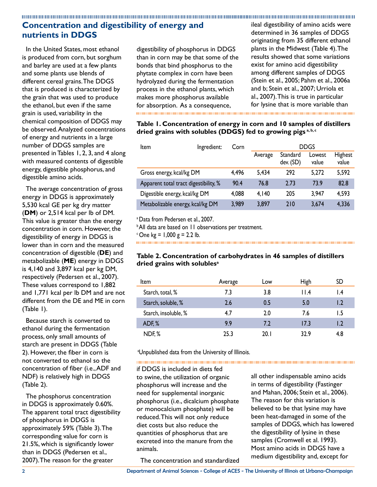# **Concentration and digestibility of energy and nutrients in DDGS**

In the United States, most ethanol is produced from corn, but sorghum and barley are used at a few plants and some plants use blends of different cereal grains. The DDGS that is produced is characterized by the grain that was used to produce the ethanol, but even if the same grain is used, variability in the chemical composition of DDGS may be observed. Analyzed concentrations of energy and nutrients in a large number of DDGS samples are presented in Tables 1, 2, 3, and 4 along with measured contents of digestible energy, digestible phosphorus, and digestible amino acids.

The average concentration of gross energy in DDGS is approximately 5,530 kcal GE per kg dry matter (**DM**) or 2,514 kcal per lb of DM. This value is greater than the energy concentration in corn. However, the digestibility of energy in DDGS is lower than in corn and the measured concentration of digestible (**DE**) and metabolizable (**ME**) energy in DDGS is 4,140 and 3,897 kcal per kg DM, respectively (Pedersen et al., 2007). These values correspond to 1,882 and 1,771 kcal per lb DM and are not different from the DE and ME in corn (Table 1).

Because starch is converted to ethanol during the fermentation process, only small amounts of starch are present in DDGS (Table 2). However, the fiber in corn is not converted to ethanol so the concentration of fiber (i.e., ADF and NDF) is relatively high in DDGS (Table 2).

The phosphorus concentration in DDGS is approximately 0.60%. The apparent total tract digestibility of phosphorus in DDGS is approximately 59% (Table 3). The corresponding value for corn is 21.5%, which is significantly lower than in DDGS (Pedersen et al., 2007). The reason for the greater

digestibility of phosphorus in DDGS than in corn may be that some of the bonds that bind phosphorus to the phytate complex in corn have been hydrolyzed during the fermentation process in the ethanol plants, which makes more phosphorus available for absorption. As a consequence, 

ileal digestibility of amino acids were determined in 36 samples of DDGS originating from 35 different ethanol plants in the Midwest (Table 4). The results showed that some variations exist for amino acid digestibility among different samples of DDGS (Stein et al., 2005; Pahm et al., 2006a and b; Stein et al., 2007; Urriola et al., 2007). This is true in particular for lysine that is more variable than

**Table 1. Concentration of energy in corn and 10 samples of distillers** 

**dried grains with solubles (DDGS) fed to growing pigs a, b, c**

| Item                                  | Ingredient: | Corn  |         |                       | <b>DDGS</b>     |                         |
|---------------------------------------|-------------|-------|---------|-----------------------|-----------------|-------------------------|
|                                       |             |       | Average | Standard<br>dev. (SD) | Lowest<br>value | <b>Highest</b><br>value |
| Gross energy, kcal/kg DM              |             | 4,496 | 5,434   | 292                   | 5,272           | 5,592                   |
| Apparent total tract digestibility, % |             | 90.4  | 76.8    | 2.73                  | 73.9            | 82.8                    |
| Digestible energy, kcal/kg DM         |             | 4,088 | 4,140   | 205                   | 3,947           | 4,593                   |
| Metabolizable energy, kcal/kg DM      |             | 3,989 | 3,897   | 210                   | 3,674           | 4,336                   |

a Data from Pedersen et al., 2007.

**All data are based on 11 observations per treatment.** 

 $\degree$  One kg = 1,000 g = 2.2 lb.

#### **Table 2. Concentration of carbohydrates in 46 samples of distillers dried grains with solublesa**

| Item                 | Average | Low  | <b>High</b> | SD  |
|----------------------|---------|------|-------------|-----|
| Starch, total, %     | 7.3     | 3.8  | 11.4        | l.4 |
| Starch, soluble, %   | 2.6     | 0.5  | 5.0         | 1.2 |
| Starch, insoluble, % | 4.7     | 2.0  | 7.6         | ۱.5 |
| ADF, %               | 9.9     | 7.2  | 17.3        | 1.2 |
| NDF <sub>,</sub> %   | 25.3    | 20.1 | 32.9        | 4.8 |

aUnpublished data from the University of Illinois.

if DDGS is included in diets fed to swine, the utilization of organic phosphorus will increase and the need for supplemental inorganic phosphorus (i.e., dicalcium phosphate or monocalcium phosphate) will be reduced. This will not only reduce diet costs but also reduce the quantities of phosphorus that are excreted into the manure from the animals.

The concentration and standardized

all other indispensable amino acids in terms of digestibility (Fastinger and Mahan, 2006; Stein et al., 2006). The reason for this variation is believed to be that lysine may have been heat-damaged in some of the samples of DDGS, which has lowered the digestibility of lysine in these samples (Cromwell et al. 1993). Most amino acids in DDGS have a medium digestibility and, except for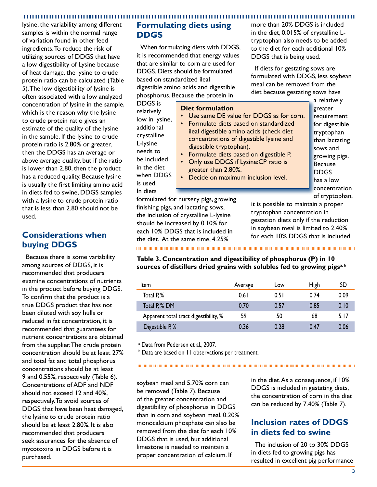lysine, the variability among different samples is within the normal range of variation found in other feed ingredients. To reduce the risk of utilizing sources of DDGS that have a low digestibility of Lysine because of heat damage, the lysine to crude protein ratio can be calculated (Table 5). The low digestibility of lysine is often associated with a low analyzed concentration of lysine in the sample, which is the reason why the lysine to crude protein ratio gives an estimate of the quality of the lysine in the sample. If the lysine to crude protein ratio is 2.80% or greater, then the DDGS has an average or above average quality, but if the ratio is lower than 2.80, then the product has a reduced quality. Because lysine is usually the first limiting amino acid in diets fed to swine, DDGS samples with a lysine to crude protein ratio that is less than 2.80 should not be used.

## **Considerations when buying DDGS**

Because there is some variability among sources of DDGS, it is recommended that producers examine concentrations of nutrients in the product before buying DDGS. To confirm that the product is a true DDGS product that has not been diluted with soy hulls or reduced in fat concentration, it is recommended that guarantees for nutrient concentrations are obtained from the supplier. The crude protein concentration should be at least 27% and total fat and total phosphorus concentrations should be at least 9 and 0.55%, respectively (Table 6). Concentrations of ADF and NDF should not exceed 12 and 40%, respectively. To avoid sources of DDGS that have been heat damaged, the lysine to crude protein ratio should be at least 2.80%. It is also recommended that producers seek assurances for the absence of mycotoxins in DDGS before it is purchased.

## **Formulating diets using DDGS**

When formulating diets with DDGS, it is recommended that energy values that are similar to corn are used for DDGS. Diets should be formulated based on standardized ileal digestible amino acids and digestible phosphorus. Because the protein in

DDGS is relatively low in lysine, additional crystalline L-lysine needs to be included in the diet when DDGS is used. In diets

#### **Diet formulation**

• Use same DE value for DDGS as for corn.

- Formulate diets based on standardized ileal digestible amino acids (check diet concentrations of digestible lysine and digestible tryptophan).
- Formulate diets based on digestible P.
- Only use DDGS if Lysine:CP ratio is greater than 2.80%.
- Decide on maximum inclusion level.

a relatively greater requirement for digestible tryptophan than lactating sows and growing pigs. **Because** DDGS has a low concentration of tryptophan,

formulated for nursery pigs, growing finishing pigs, and lactating sows, the inclusion of crystalline L-lysine should be increased by 0.10% for each 10% DDGS that is included in the diet. At the same time, 4.25%

it is possible to maintain a proper tryptophan concentration in gestation diets only if the reduction in soybean meal is limited to 2.40% for each 10% DDGS that is included

more than 20% DDGS is included in the diet, 0.015% of crystalline Ltryptophan also needs to be added to the diet for each additional 10%

If diets for gestating sows are formulated with DDGS, less soybean meal can be removed from the diet because gestating sows have

DDGS that is being used.

#### **Table 3. Concentration and digestibility of phosphorus (P) in 10**  sources of distillers dried grains with solubles fed to growing pigs<sup>a, b</sup>

| ltem                                  | Average | Low  | <b>High</b> | <b>SD</b> |
|---------------------------------------|---------|------|-------------|-----------|
| Total P <sub>,</sub> %                | 0.61    | 0.51 | 0.74        | 0.09      |
| Total P, % DM                         | 0.70    | 0.57 | 0.85        | 0.10      |
| Apparent total tract digestibility, % | 59      | 50   | 68          | 5.17      |
| Digestible P, %                       | 0.36    | 0.28 | 0.47        | 0.06      |

<sup>a</sup> Data from Pedersen et al., 2007.

**b** Data are based on 11 observations per treatment.

soybean meal and 5.70% corn can be removed (Table 7). Because of the greater concentration and digestibility of phosphorus in DDGS than in corn and soybean meal, 0.20% monocalcium phosphate can also be removed from the diet for each 10% DDGS that is used, but additional limestone is needed to maintain a proper concentration of calcium. If

in the diet. As a consequence, if 10% DDGS is included in gestating diets, the concentration of corn in the diet can be reduced by 7.40% (Table 7).

## **Inclusion rates of DDGS in diets fed to swine**

The inclusion of 20 to 30% DDGS in diets fed to growing pigs has resulted in excellent pig performance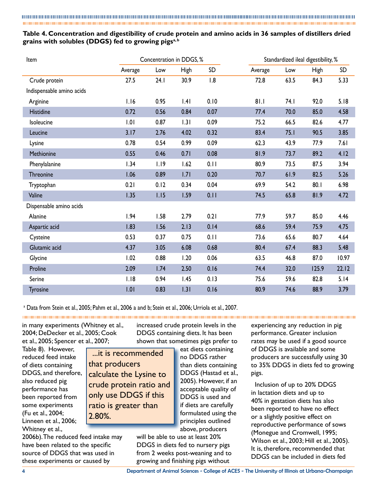### **Table 4. Concentration and digestibility of crude protein and amino acids in 36 samples of distillers dried grains with solubles (DDGS) fed to growing pigsa, b**

| Item                      | Concentration in DDGS, % |      | Standardized ileal digestibility, % |      |         |      |             |           |
|---------------------------|--------------------------|------|-------------------------------------|------|---------|------|-------------|-----------|
|                           | Average                  | Low  | <b>High</b>                         | SD   | Average | Low  | <b>High</b> | <b>SD</b> |
| Crude protein             | 27.5                     | 24.1 | 30.9                                | 1.8  | 72.8    | 63.5 | 84.3        | 5.33      |
| Indispensable amino acids |                          |      |                                     |      |         |      |             |           |
| Arginine                  | 1.16                     | 0.95 | .4                                  | 0.10 | 81.1    | 74.I | 92.0        | 5.18      |
| <b>Histidine</b>          | 0.72                     | 0.56 | 0.84                                | 0.07 | 77.4    | 70.0 | 85.0        | 4.58      |
| Isoleucine                | 1.01                     | 0.87 | 1.31                                | 0.09 | 75.2    | 66.5 | 82.6        | 4.77      |
| Leucine                   | 3.17                     | 2.76 | 4.02                                | 0.32 | 83.4    | 75.1 | 90.5        | 3.85      |
| Lysine                    | 0.78                     | 0.54 | 0.99                                | 0.09 | 62.3    | 43.9 | 77.9        | 7.61      |
| Methionine                | 0.55                     | 0.46 | 0.71                                | 0.08 | 81.9    | 73.7 | 89.2        | 4.12      |
| Phenylalanine             | 1.34                     | 1.19 | 1.62                                | 0.11 | 80.9    | 73.5 | 87.5        | 3.94      |
| Threonine                 | 1.06                     | 0.89 | 1.71                                | 0.20 | 70.7    | 61.9 | 82.5        | $5.26$    |
| Tryptophan                | 0.21                     | 0.12 | 0.34                                | 0.04 | 69.9    | 54.2 | 80.1        | 6.98      |
| Valine                    | 1.35                     | 1.15 | 1.59                                | 0.11 | 74.5    | 65.8 | 81.9        | 4.72      |
| Dispensable amino acids   |                          |      |                                     |      |         |      |             |           |
| Alanine                   | 1.94                     | 1.58 | 2.79                                | 0.21 | 77.9    | 59.7 | 85.0        | 4.46      |
| Aspartic acid             | 1.83                     | 1.56 | 2.13                                | 0.14 | 68.6    | 59.4 | 75.9        | 4.75      |
| Cysteine                  | 0.53                     | 0.37 | 0.75                                | 0.11 | 73.6    | 65.6 | 80.7        | 4.64      |
| Glutamic acid             | 4.37                     | 3.05 | 6.08                                | 0.68 | 80.4    | 67.4 | 88.3        | 5.48      |
| Glycine                   | 1.02                     | 0.88 | 1.20                                | 0.06 | 63.5    | 46.8 | 87.0        | 10.97     |
| Proline                   | 2.09                     | 1.74 | 2.50                                | 0.16 | 74.4    | 32.0 | 125.9       | 22.12     |
| Serine                    | 1.18                     | 0.94 | 1.45                                | 0.13 | 75.6    | 59.6 | 82.8        | 5.14      |
| <b>Tyrosine</b>           | 1.01                     | 0.83 | 1.31                                | 0.16 | 80.9    | 74.6 | 88.9        | 3.79      |

<sup>a</sup> Data from Stein et al., 2005; Pahm et al., 2006 a and b; Stein et al., 2006; Urriola et al., 2007.

in many experiments (Whitney et al., 2004; DeDecker et al., 2005; Cook et al., 2005; Spencer et al., 2007;

also reduced pig performance has

(Fu et al., 2004;

Table 8). However, reduced feed intake of diets containing DDGS, and therefore, been reported from some experiments Linneen et al., 2006; ...it is recommended that producers calculate the Lysine to crude protein ratio and only use DDGS if this ratio is greater than 2.80%.

Whitney et al., 2006b). The reduced feed intake may have been related to the specific source of DDGS that was used in these experiments or caused by

increased crude protein levels in the DDGS containing diets. It has been shown that sometimes pigs prefer to

> eat diets containing no DDGS rather than diets containing DDGS (Hastad et al., 2005). However, if an acceptable quality of DDGS is used and if diets are carefully formulated using the principles outlined above, producers

will be able to use at least 20% DDGS in diets fed to nursery pigs from 2 weeks post-weaning and to growing and finishing pigs without

experiencing any reduction in pig performance. Greater inclusion rates may be used if a good source of DDGS is available and some producers are successfully using 30 to 35% DDGS in diets fed to growing pigs.

Inclusion of up to 20% DDGS in lactation diets and up to 40% in gestation diets has also been reported to have no effect or a slightly positive effect on reproductive performance of sows (Monegue and Cromwell, 1995; Wilson et al., 2003; Hill et al., 2005). It is, therefore, recommended that DDGS can be included in diets fed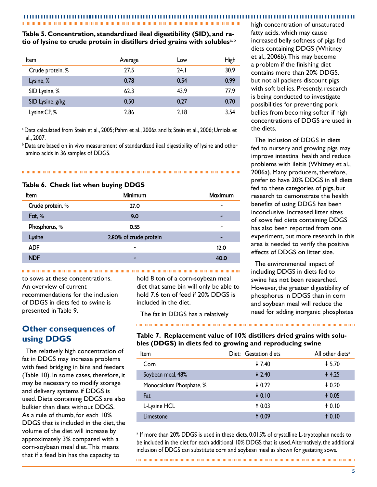#### **Table 5. Concentration, standardized ileal digestibility (SID), and ratio of lysine to crude protein in distillers dried grains with solublesa, b**

| <b>Item</b>      | Average | Low   | <b>High</b> |
|------------------|---------|-------|-------------|
| Crude protein, % | 27.5    | 24. I | 30.9        |
| Lysine, %        | 0.78    | 0.54  | 0.99        |
| SID Lysine, %    | 62.3    | 43.9  | 77.9        |
| SID Lysine, g/kg | 0.50    | 0.27  | 0.70        |
| Lysine:CP,%      | 2.86    | 2.18  | 3.54        |

a Data calculated from Stein et al., 2005; Pahm et al., 2006a and b; Stein et al., 2006; Urriola et al., 2007.

<sup>b</sup> Data are based on in vivo measurement of standardized ileal digestibility of lysine and other amino acids in 36 samples of DDGS.

#### **Table 6. Check list when buying DDGS**

| Item             | Minimum                | Maximum |
|------------------|------------------------|---------|
| Crude protein, % | 27.0                   |         |
| Fat, $%$         | 9.0                    |         |
| Phosphorus, %    | 0.55                   | -       |
| Lysine           | 2.80% of crude protein |         |
| <b>ADF</b>       | -                      | 12.0    |
| <b>NDF</b>       |                        | 40.0    |

to sows at these concentrations. An overview of current recommendations for the inclusion of DDGS in diets fed to swine is presented in Table 9.

## **Other consequences of using DDGS**

The relatively high concentration of fat in DDGS may increase problems with feed bridging in bins and feeders (Table 10). In some cases, therefore, it may be necessary to modify storage and delivery systems if DDGS is used. Diets containing DDGS are also bulkier than diets without DDGS. As a rule of thumb, for each 10% DDGS that is included in the diet, the volume of the diet will increase by approximately 3% compared with a corn-soybean meal diet. This means that if a feed bin has the capacity to

hold 8 ton of a corn-soybean meal diet that same bin will only be able to hold 7.6 ton of feed if 20% DDGS is included in the diet.

The fat in DDGS has a relatively

high concentration of unsaturated fatty acids, which may cause increased belly softness of pigs fed diets containing DDGS (Whitney et al., 2006b). This may become a problem if the finishing diet contains more than 20% DDGS, but not all packers discount pigs with soft bellies. Presently, research is being conducted to investigate possibilities for preventing pork bellies from becoming softer if high concentrations of DDGS are used in the diets.

The inclusion of DDGS in diets fed to nursery and growing pigs may improve intestinal health and reduce problems with ileitis (Whitney et al., 2006a). Many producers, therefore, prefer to have 20% DDGS in all diets fed to these categories of pigs, but research to demonstrate the health benefits of using DDGS has been inconclusive. Increased litter sizes of sows fed diets containing DDGS has also been reported from one experiment, but more research in this area is needed to verify the positive effects of DDGS on litter size.

The environmental impact of including DDGS in diets fed to swine has not been researched. However, the greater digestibility of phosphorus in DDGS than in corn and soybean meal will reduce the need for adding inorganic phosphates

#### **Table 7. Replacement value of 10% distillers dried grains with solubles (DDGS) in diets fed to growing and reproducing swine**

| Item                     | Diet: Gestation diets | All other diets <sup>a</sup> |
|--------------------------|-----------------------|------------------------------|
| Corn                     | $+ 7.40$              | $+ 5.70$                     |
| Soybean meal, 48%        | $\downarrow$ 2.40     | $+4.25$                      |
| Monocalcium Phosphate, % | $+0.22$               | $+0.20$                      |
| Fat                      | $+0.10$               | $+0.05$                      |
| L-Lysine HCL             | 10.03                 | 10.10                        |
| Limestone                | 10.09                 | 10.10                        |

<sup>a</sup> If more than 20% DDGS is used in these diets, 0.015% of crystalline L-tryptophan needs to be included in the diet for each additional 10% DDGS that is used. Alternatively, the additional inclusion of DDGS can substitute corn and soybean meal as shown for gestating sows.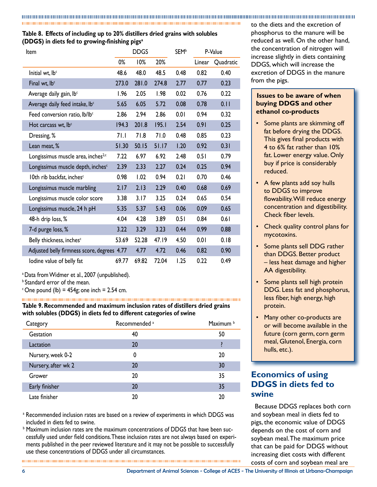## **Table 8. Effects of including up to 20% distillers dried grains with solubles (DDGS) in diets fed to growing-finishing pigs<sup>a</sup>**

| Item                                           |       | <b>DDGS</b> |       | <b>SEM</b> <sup>b</sup> |        | P-Value   |
|------------------------------------------------|-------|-------------|-------|-------------------------|--------|-----------|
|                                                | 0%    | 10%         | 20%   |                         | Linear | Quadratic |
| Initial wt, lb <sup>c</sup>                    | 48.6  | 48.0        | 48.5  | 0.48                    | 0.82   | 0.40      |
| Final wt, lb <sup>c</sup>                      | 273.0 | 281.0       | 274.8 | 2.77                    | 0.77   | 0.23      |
| Average daily gain, lbc                        | 1.96  | 2.05        | 1.98  | 0.02                    | 0.76   | 0.22      |
| Average daily feed intake, lb <sup>c</sup>     | 5.65  | 6.05        | 5.72  | 0.08                    | 0.78   | 0.11      |
| Feed conversion ratio, lb/lbc                  | 2.86  | 2.94        | 2.86  | 0.01                    | 0.94   | 0.32      |
| Hot carcass wt, lb <sup>c</sup>                | 194.3 | 201.8       | 195.1 | 2.54                    | 0.91   | 0.25      |
| Dressing, %                                    | 71.1  | 71.8        | 71.0  | 0.48                    | 0.85   | 0.23      |
| Lean meat, %                                   | 51.30 | 50.15       | 51.17 | 1.20                    | 0.92   | 0.31      |
| Longissimus muscle area, inches <sup>2,c</sup> | 7.22  | 6.97        | 6.92  | 2.48                    | 0.51   | 0.79      |
| Longissimus muscle depth, inches <sup>c</sup>  | 2.39  | 2.33        | 2.27  | 0.24                    | 0.25   | 0.94      |
| 10th rib backfat, inches <sup>c</sup>          | 0.98  | 1.02        | 0.94  | 0.21                    | 0.70   | 0.46      |
| Longissimus muscle marbling                    | 2.17  | 2.13        | 2.29  | 0.40                    | 0.68   | 0.69      |
| Longissimus muscle color score                 | 3.38  | 3.17        | 3.25  | 0.24                    | 0.65   | 0.54      |
| Longissimus muscle, 24 h pH                    | 5.35  | 5.37        | 5.43  | 0.06                    | 0.09   | 0.65      |
| 48-h drip loss, %                              | 4.04  | 4.28        | 3.89  | 0.51                    | 0.84   | 0.61      |
| 7-d purge loss, %                              | 3.22  | 3.29        | 3.23  | 0.44                    | 0.99   | 0.88      |
| Belly thickness, inches <sup>c</sup>           | 53.69 | 52.28       | 47.19 | 4.50                    | 0.01   | 0.18      |
| Adjusted belly firmness score, degrees 4.77    |       | 4.77        | 4.72  | 0.46                    | 0.82   | 0.90      |
| lodine value of belly fat                      | 69.77 | 69.82       | 72.04 | 1.25                    | 0.22   | 0.49      |

a Data from Widmer et al., 2007 (unpublished).

**b** Standard error of the mean.

 $\degree$  One pound (lb) = 454g; one inch = 2.54 cm.

**Table 9. Recommended and maximum inclusion rates of distillers dried grains with solubles (DDGS) in diets fed to different categories of swine**

| Category            | Recommended <sup>a</sup> | Maximum b |
|---------------------|--------------------------|-----------|
| Gestation           | 40                       | 50        |
| Lactation           | 20                       |           |
| Nursery, week 0-2   | 0                        | 20        |
| Nursery, after wk 2 | 20                       | 30        |
| Grower              | 20                       | 35        |
| Early finisher      | 20                       | 35        |
| Late finisher       | 20                       | 20        |

a Recommended inclusion rates are based on a review of experiments in which DDGS was included in diets fed to swine.

b Maximum inclusion rates are the maximum concentrations of DDGS that have been successfully used under field conditions. These inclusion rates are not always based on experiments published in the peer reviewed literature and it may not be possible to successfully use these concentrations of DDGS under all circumstances.

to the diets and the excretion of phosphorus to the manure will be reduced as well. On the other hand, the concentration of nitrogen will increase slightly in diets containing DDGS, which will increase the excretion of DDGS in the manure from the pigs.

#### **Issues to be aware of when buying DDGS and other ethanol co-products**

- Some plants are skimming off fat before drying the DDGS. This gives final products with 4 to 6% fat rather than 10% fat. Lower energy value. Only buy if price is considerably reduced.
- A few plants add soy hulls to DDGS to improve flowability. Will reduce energy concentration and digestibility. Check fiber levels.
- Check quality control plans for mycotoxins.
- Some plants sell DDG rather than DDGS. Better product – less heat damage and higher AA digestibility.
- Some plants sell high protein DDG. Less fat and phosphorus, less fiber, high energy, high protein.
- Many other co-products are or will become available in the future (corn germ, corn germ meal, Glutenol, Energia, corn hulls, etc.).

## **Economics of using DDGS in diets fed to swine**

Because DDGS replaces both corn and soybean meal in diets fed to pigs, the economic value of DDGS depends on the cost of corn and soybean meal. The maximum price that can be paid for DDGS without increasing diet costs with different costs of corn and soybean meal are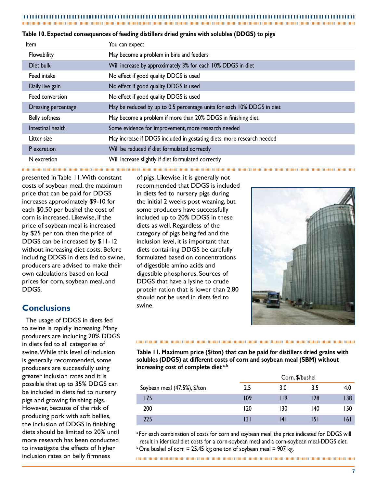|  |  | Table 10. Expected consequences of feeding distillers dried grains with solubles (DDGS) to pigs |
|--|--|-------------------------------------------------------------------------------------------------|
|  |  |                                                                                                 |

| ltem                  | You can expect                                                         |
|-----------------------|------------------------------------------------------------------------|
| Flowability           | May become a problem in bins and feeders                               |
| Diet bulk             | Will increase by approximately 3% for each 10% DDGS in diet            |
| Feed intake           | No effect if good quality DDGS is used                                 |
| Daily live gain       | No effect if good quality DDGS is used                                 |
| Feed conversion       | No effect if good quality DDGS is used                                 |
| Dressing percentage   | May be reduced by up to 0.5 percentage units for each 10% DDGS in diet |
| <b>Belly softness</b> | May become a problem if more than 20% DDGS in finishing diet           |
| Intestinal health     | Some evidence for improvement, more research needed                    |
| Litter size           | May increase if DDGS included in gestating diets, more research needed |
| P excretion           | Will be reduced if diet formulated correctly                           |
| N excretion           | Will increase slightly if diet formulated correctly                    |

presented in Table 11. With constant costs of soybean meal, the maximum price that can be paid for DDGS increases approximately \$9-10 for each \$0.50 per bushel the cost of corn is increased. Likewise, if the price of soybean meal is increased by \$25 per ton, then the price of DDGS can be increased by \$11-12 without increasing diet costs. Before including DDGS in diets fed to swine, producers are advised to make their own calculations based on local prices for corn, soybean meal, and DDGS.

## **Conclusions**

The usage of DDGS in diets fed to swine is rapidly increasing. Many producers are including 20% DDGS in diets fed to all categories of swine. While this level of inclusion is generally recommended, some producers are successfully using greater inclusion rates and it is possible that up to 35% DDGS can be included in diets fed to nursery pigs and growing finishing pigs. However, because of the risk of producing pork with soft bellies, the inclusion of DDGS in finishing diets should be limited to 20% until more research has been conducted to investigate the effects of higher inclusion rates on belly firmness

of pigs. Likewise, it is generally not recommended that DDGS is included in diets fed to nursery pigs during the initial 2 weeks post weaning, but some producers have successfully included up to 20% DDGS in these diets as well. Regardless of the category of pigs being fed and the inclusion level, it is important that diets containing DDGS be carefully formulated based on concentrations of digestible amino acids and digestible phosphorus. Sources of DDGS that have a lysine to crude protein ration that is lower than 2.80 should not be used in diets fed to swine.



**Table 11. Maximum price (\$/ton) that can be paid for distillers dried grains with solubles (DDGS) at different costs of corn and soybean meal (SBM) without increasing cost of complete diet a, b**

|                              |     | Corn, \$/bushel |      |      |  |
|------------------------------|-----|-----------------|------|------|--|
| Soybean meal (47.5%), \$/ton | 2.5 | 3.0             | 3.5  | 4.0  |  |
| 175                          | 109 | ۱۱9             | 128  | 138  |  |
| 200                          | 120 | 130             | 140  | 150  |  |
| 225                          | 131 | ا 4             | 15 I | 16 I |  |

<sup>a</sup> For each combination of costs for corn and soybean meal, the price indicated for DDGS will result in identical diet costs for a corn-soybean meal and a corn-soybean meal-DDGS diet.  $b$  One bushel of corn = 25.45 kg; one ton of soybean meal = 907 kg.